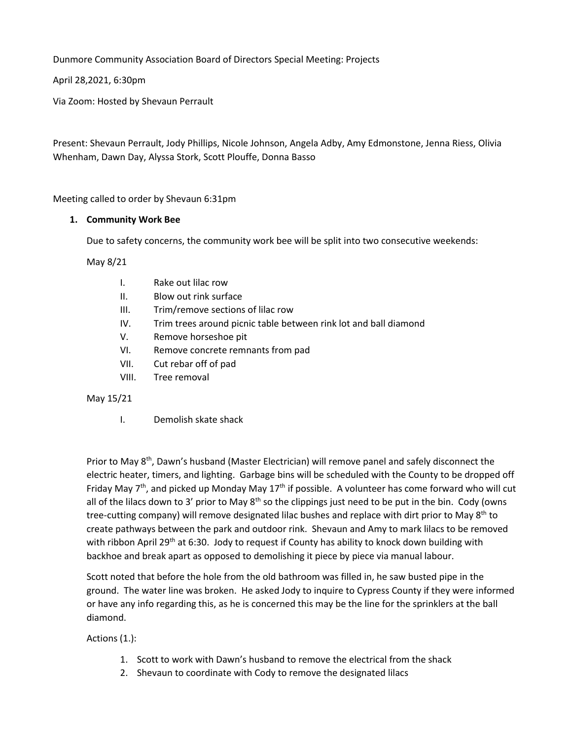Dunmore Community Association Board of Directors Special Meeting: Projects

April 28,2021, 6:30pm

Via Zoom: Hosted by Shevaun Perrault

Present: Shevaun Perrault, Jody Phillips, Nicole Johnson, Angela Adby, Amy Edmonstone, Jenna Riess, Olivia Whenham, Dawn Day, Alyssa Stork, Scott Plouffe, Donna Basso

Meeting called to order by Shevaun 6:31pm

## **1. Community Work Bee**

Due to safety concerns, the community work bee will be split into two consecutive weekends:

May 8/21

- I. Rake out lilac row
- II. Blow out rink surface
- III. Trim/remove sections of lilac row
- IV. Trim trees around picnic table between rink lot and ball diamond
- V. Remove horseshoe pit
- VI. Remove concrete remnants from pad
- VII. Cut rebar off of pad
- VIII. Tree removal

### May 15/21

I. Demolish skate shack

Prior to May 8<sup>th</sup>, Dawn's husband (Master Electrician) will remove panel and safely disconnect the electric heater, timers, and lighting. Garbage bins will be scheduled with the County to be dropped off Friday May  $7<sup>th</sup>$ , and picked up Monday May 17<sup>th</sup> if possible. A volunteer has come forward who will cut all of the lilacs down to 3' prior to May  $8<sup>th</sup>$  so the clippings just need to be put in the bin. Cody (owns tree-cutting company) will remove designated lilac bushes and replace with dirt prior to May 8<sup>th</sup> to create pathways between the park and outdoor rink. Shevaun and Amy to mark lilacs to be removed with ribbon April 29<sup>th</sup> at 6:30. Jody to request if County has ability to knock down building with backhoe and break apart as opposed to demolishing it piece by piece via manual labour.

Scott noted that before the hole from the old bathroom was filled in, he saw busted pipe in the ground. The water line was broken. He asked Jody to inquire to Cypress County if they were informed or have any info regarding this, as he is concerned this may be the line for the sprinklers at the ball diamond.

Actions (1.):

- 1. Scott to work with Dawn's husband to remove the electrical from the shack
- 2. Shevaun to coordinate with Cody to remove the designated lilacs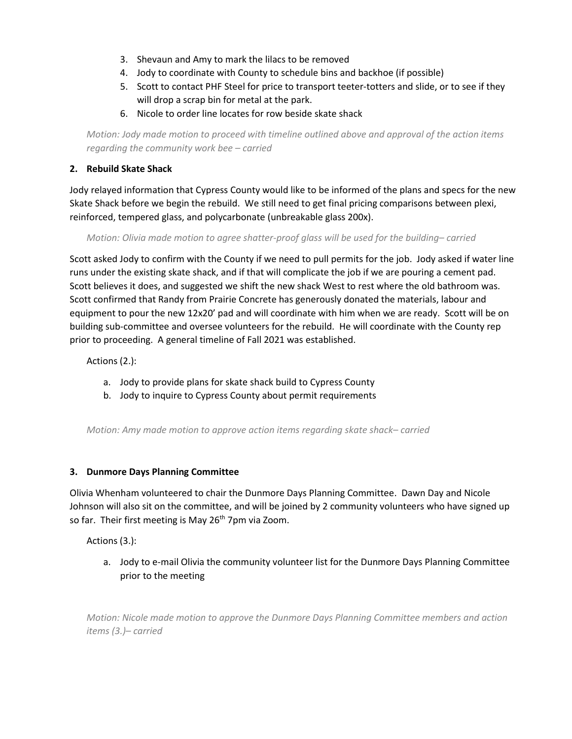- 3. Shevaun and Amy to mark the lilacs to be removed
- 4. Jody to coordinate with County to schedule bins and backhoe (if possible)
- 5. Scott to contact PHF Steel for price to transport teeter-totters and slide, or to see if they will drop a scrap bin for metal at the park.
- 6. Nicole to order line locates for row beside skate shack

*Motion: Jody made motion to proceed with timeline outlined above and approval of the action items regarding the community work bee – carried*

# **2. Rebuild Skate Shack**

Jody relayed information that Cypress County would like to be informed of the plans and specs for the new Skate Shack before we begin the rebuild. We still need to get final pricing comparisons between plexi, reinforced, tempered glass, and polycarbonate (unbreakable glass 200x).

*Motion: Olivia made motion to agree shatter-proof glass will be used for the building– carried*

Scott asked Jody to confirm with the County if we need to pull permits for the job. Jody asked if water line runs under the existing skate shack, and if that will complicate the job if we are pouring a cement pad. Scott believes it does, and suggested we shift the new shack West to rest where the old bathroom was. Scott confirmed that Randy from Prairie Concrete has generously donated the materials, labour and equipment to pour the new 12x20' pad and will coordinate with him when we are ready. Scott will be on building sub-committee and oversee volunteers for the rebuild. He will coordinate with the County rep prior to proceeding. A general timeline of Fall 2021 was established.

Actions (2.):

- a. Jody to provide plans for skate shack build to Cypress County
- b. Jody to inquire to Cypress County about permit requirements

*Motion: Amy made motion to approve action items regarding skate shack– carried*

## **3. Dunmore Days Planning Committee**

Olivia Whenham volunteered to chair the Dunmore Days Planning Committee. Dawn Day and Nicole Johnson will also sit on the committee, and will be joined by 2 community volunteers who have signed up so far. Their first meeting is May 26<sup>th</sup> 7pm via Zoom.

Actions (3.):

a. Jody to e-mail Olivia the community volunteer list for the Dunmore Days Planning Committee prior to the meeting

*Motion: Nicole made motion to approve the Dunmore Days Planning Committee members and action items (3.)– carried*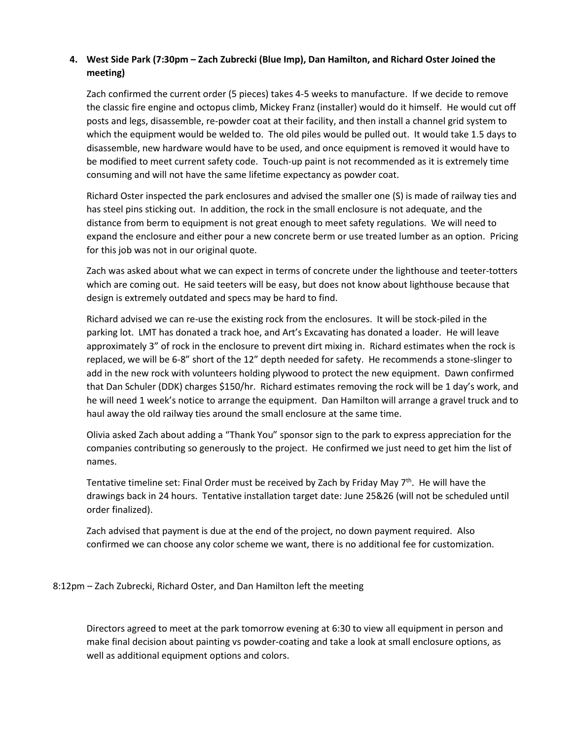# **4. West Side Park (7:30pm – Zach Zubrecki (Blue Imp), Dan Hamilton, and Richard Oster Joined the meeting)**

Zach confirmed the current order (5 pieces) takes 4-5 weeks to manufacture. If we decide to remove the classic fire engine and octopus climb, Mickey Franz (installer) would do it himself. He would cut off posts and legs, disassemble, re-powder coat at their facility, and then install a channel grid system to which the equipment would be welded to. The old piles would be pulled out. It would take 1.5 days to disassemble, new hardware would have to be used, and once equipment is removed it would have to be modified to meet current safety code. Touch-up paint is not recommended as it is extremely time consuming and will not have the same lifetime expectancy as powder coat.

Richard Oster inspected the park enclosures and advised the smaller one (S) is made of railway ties and has steel pins sticking out. In addition, the rock in the small enclosure is not adequate, and the distance from berm to equipment is not great enough to meet safety regulations. We will need to expand the enclosure and either pour a new concrete berm or use treated lumber as an option. Pricing for this job was not in our original quote.

Zach was asked about what we can expect in terms of concrete under the lighthouse and teeter-totters which are coming out. He said teeters will be easy, but does not know about lighthouse because that design is extremely outdated and specs may be hard to find.

Richard advised we can re-use the existing rock from the enclosures. It will be stock-piled in the parking lot. LMT has donated a track hoe, and Art's Excavating has donated a loader. He will leave approximately 3" of rock in the enclosure to prevent dirt mixing in. Richard estimates when the rock is replaced, we will be 6-8" short of the 12" depth needed for safety. He recommends a stone-slinger to add in the new rock with volunteers holding plywood to protect the new equipment. Dawn confirmed that Dan Schuler (DDK) charges \$150/hr. Richard estimates removing the rock will be 1 day's work, and he will need 1 week's notice to arrange the equipment. Dan Hamilton will arrange a gravel truck and to haul away the old railway ties around the small enclosure at the same time.

Olivia asked Zach about adding a "Thank You" sponsor sign to the park to express appreciation for the companies contributing so generously to the project. He confirmed we just need to get him the list of names.

Tentative timeline set: Final Order must be received by Zach by Friday May 7<sup>th</sup>. He will have the drawings back in 24 hours. Tentative installation target date: June 25&26 (will not be scheduled until order finalized).

Zach advised that payment is due at the end of the project, no down payment required. Also confirmed we can choose any color scheme we want, there is no additional fee for customization.

8:12pm – Zach Zubrecki, Richard Oster, and Dan Hamilton left the meeting

Directors agreed to meet at the park tomorrow evening at 6:30 to view all equipment in person and make final decision about painting vs powder-coating and take a look at small enclosure options, as well as additional equipment options and colors.